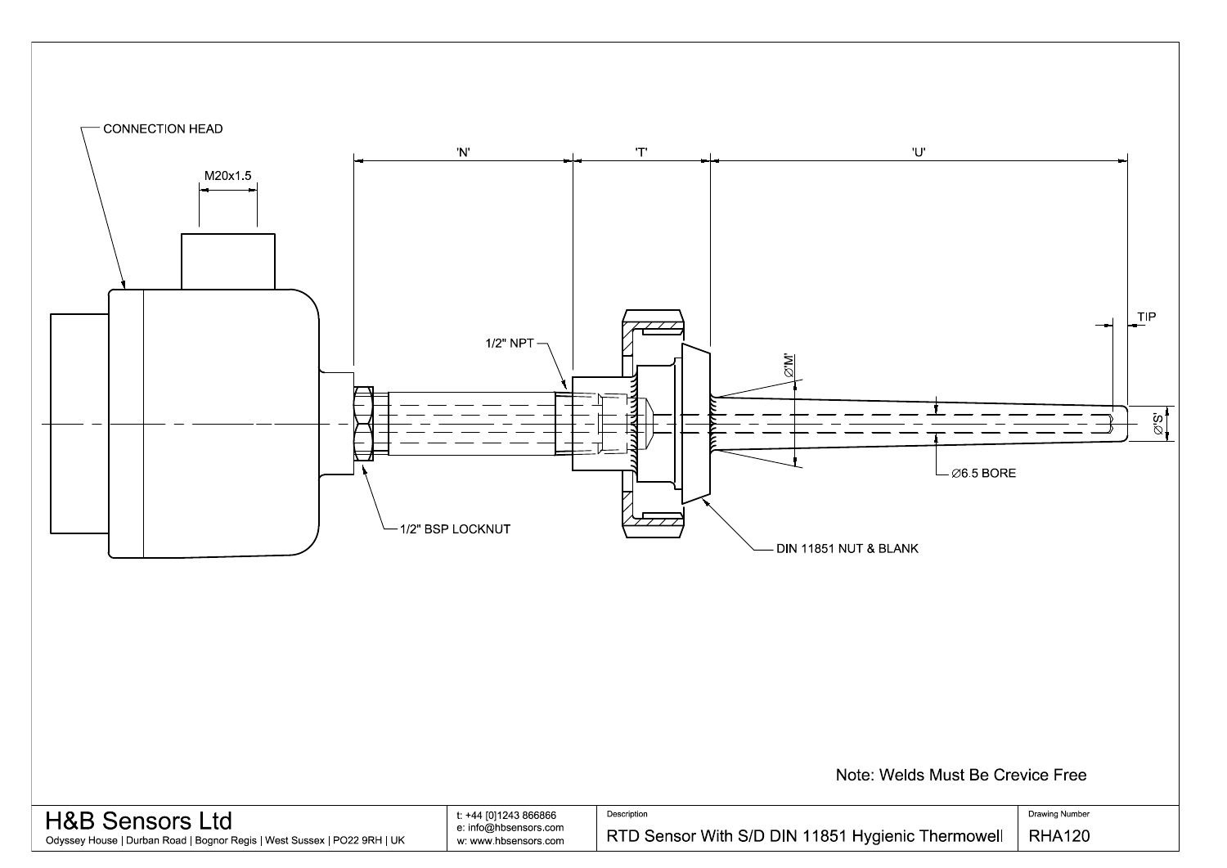

| <b>H&amp;B Sensors Ltd</b>                                               | t: +44 [0]1243 866866 | Description                              |
|--------------------------------------------------------------------------|-----------------------|------------------------------------------|
|                                                                          | e: info@hbsensors.com |                                          |
| Odyssey House   Durban Road   Bognor Regis   West Sussex   PO22 9RH   UK | w: www.hbsensors.com  | RTD Sensor With S/D DIN 11851 Hygienic T |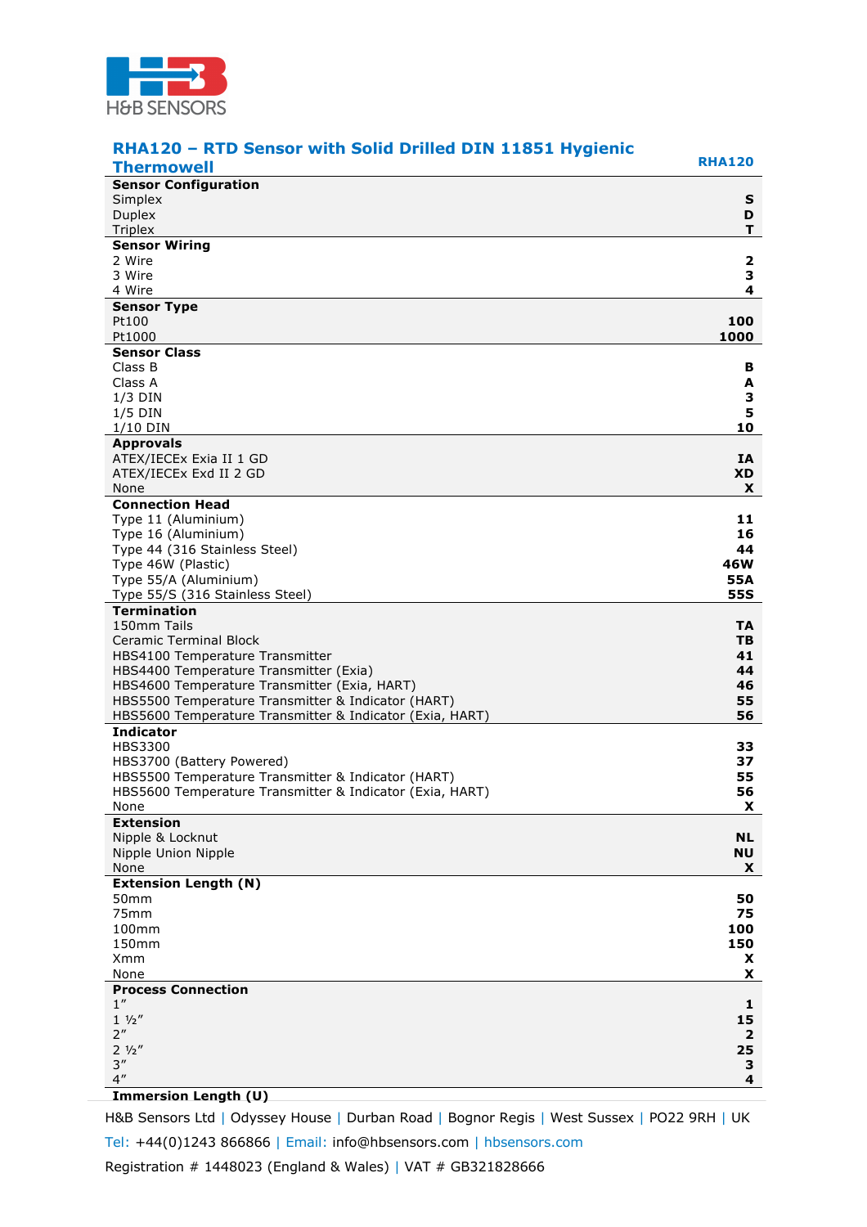

| RHA120 - RTD Sensor with Solid Drilled DIN 11851 Hygienic                                                      |                         |
|----------------------------------------------------------------------------------------------------------------|-------------------------|
| <b>Thermowell</b>                                                                                              | <b>RHA120</b>           |
| <b>Sensor Configuration</b>                                                                                    |                         |
| Simplex<br><b>Duplex</b>                                                                                       | S<br>D                  |
| Triplex                                                                                                        | т                       |
| <b>Sensor Wiring</b>                                                                                           |                         |
| 2 Wire                                                                                                         | $\overline{\mathbf{2}}$ |
| 3 Wire                                                                                                         | З                       |
| 4 Wire                                                                                                         | 4                       |
| <b>Sensor Type</b>                                                                                             |                         |
| Pt100<br>Pt1000                                                                                                | 100<br>1000             |
| <b>Sensor Class</b>                                                                                            |                         |
| Class B                                                                                                        | В                       |
| Class A                                                                                                        | A                       |
| $1/3$ DIN                                                                                                      | З                       |
| $1/5$ DIN                                                                                                      | 5                       |
| 1/10 DIN<br><b>Approvals</b>                                                                                   | 10                      |
| ATEX/IECEx Exia II 1 GD                                                                                        | IA                      |
| ATEX/IECEx Exd II 2 GD                                                                                         | XD.                     |
| None                                                                                                           | X                       |
| <b>Connection Head</b>                                                                                         |                         |
| Type 11 (Aluminium)                                                                                            | 11                      |
| Type 16 (Aluminium)                                                                                            | 16                      |
| Type 44 (316 Stainless Steel)<br>Type 46W (Plastic)                                                            | 44<br>46W               |
| Type 55/A (Aluminium)                                                                                          | 55A                     |
| Type 55/S (316 Stainless Steel)                                                                                | <b>55S</b>              |
| <b>Termination</b>                                                                                             |                         |
| 150mm Tails                                                                                                    | TA.                     |
| <b>Ceramic Terminal Block</b>                                                                                  | TВ                      |
| HBS4100 Temperature Transmitter                                                                                | 41<br>44                |
| HBS4400 Temperature Transmitter (Exia)<br>HBS4600 Temperature Transmitter (Exia, HART)                         | 46                      |
| HBS5500 Temperature Transmitter & Indicator (HART)                                                             | 55                      |
| HBS5600 Temperature Transmitter & Indicator (Exia, HART)                                                       | 56                      |
| <b>Indicator</b>                                                                                               |                         |
| <b>HBS3300</b>                                                                                                 | 33                      |
| HBS3700 (Battery Powered)                                                                                      | 37<br>55                |
| HBS5500 Temperature Transmitter & Indicator (HART)<br>HBS5600 Temperature Transmitter & Indicator (Exia, HART) | 56                      |
| None                                                                                                           | $\mathbf{x}$            |
| <b>Extension</b>                                                                                               |                         |
| Nipple & Locknut                                                                                               | <b>NL</b>               |
| Nipple Union Nipple                                                                                            | <b>NU</b>               |
| None                                                                                                           | X                       |
| <b>Extension Length (N)</b><br>50 <sub>mm</sub>                                                                | 50                      |
| 75mm                                                                                                           | 75                      |
| 100mm                                                                                                          | 100                     |
| 150mm                                                                                                          | 150                     |
| Xmm                                                                                                            | X                       |
| None<br><b>Process Connection</b>                                                                              | X                       |
| 1''                                                                                                            | 1                       |
| $1 \frac{1}{2}$                                                                                                | 15                      |
| 2 <sup>''</sup>                                                                                                | 2                       |
| $2\frac{1}{2}$                                                                                                 | 25                      |
| 3''                                                                                                            | З                       |
| 4''                                                                                                            | 4                       |

## **Immersion Length (U)**

H&B Sensors Ltd | Odyssey House | Durban Road | Bognor Regis | West Sussex | PO22 9RH | UK Tel: +44(0)1243 866866 | Email: info@hbsensors.com | hbsensors.com